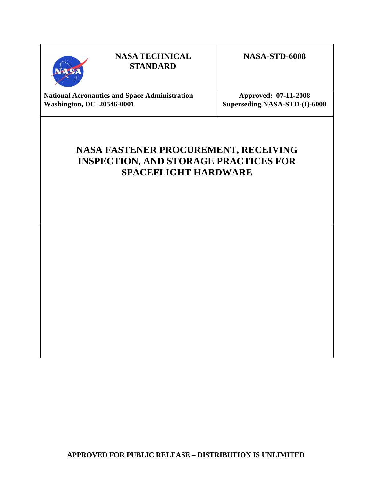

# **NASA TECHNICAL STANDARD**

# **NASA-STD-6008**

National Aeronautics and Space Administration **Approved: 07-11-2008 Washington, DC 20546-0001 Superseding NASA-STD-(I)-6008** 

# **NASA FASTENER PROCUREMENT, RECEIVING INSPECTION, AND STORAGE PRACTICES FOR SPACEFLIGHT HARDWARE**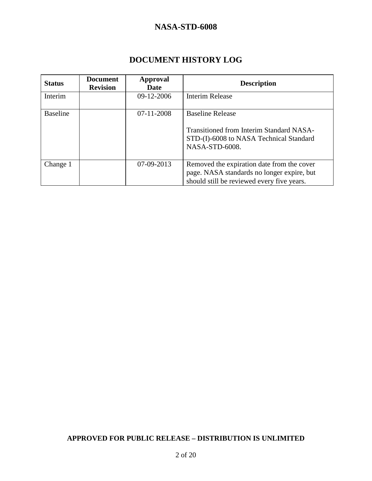# **DOCUMENT HISTORY LOG**

| <b>Status</b>   | <b>Document</b><br><b>Revision</b> | Approval<br><b>Date</b> | <b>Description</b>                                                                                                                     |  |  |  |
|-----------------|------------------------------------|-------------------------|----------------------------------------------------------------------------------------------------------------------------------------|--|--|--|
| Interim         |                                    | 09-12-2006              | <b>Interim Release</b>                                                                                                                 |  |  |  |
| <b>Baseline</b> |                                    | $07 - 11 - 2008$        | <b>Baseline Release</b><br>Transitioned from Interim Standard NASA-<br>STD-(I)-6008 to NASA Technical Standard                         |  |  |  |
|                 |                                    |                         | NASA-STD-6008.                                                                                                                         |  |  |  |
| Change 1        |                                    | 07-09-2013              | Removed the expiration date from the cover<br>page. NASA standards no longer expire, but<br>should still be reviewed every five years. |  |  |  |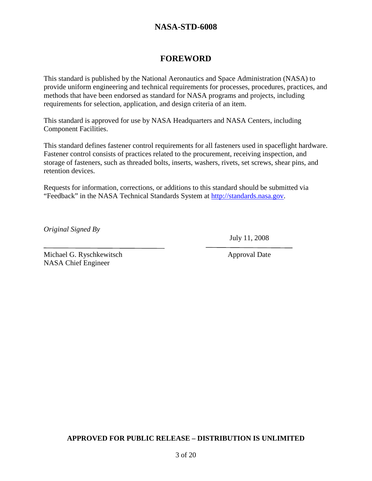# **FOREWORD**

This standard is published by the National Aeronautics and Space Administration (NASA) to provide uniform engineering and technical requirements for processes, procedures, practices, and methods that have been endorsed as standard for NASA programs and projects, including requirements for selection, application, and design criteria of an item.

This standard is approved for use by NASA Headquarters and NASA Centers, including Component Facilities.

This standard defines fastener control requirements for all fasteners used in spaceflight hardware. Fastener control consists of practices related to the procurement, receiving inspection, and storage of fasteners, such as threaded bolts, inserts, washers, rivets, set screws, shear pins, and retention devices.

Requests for information, corrections, or additions to this standard should be submitted via "Feedback" in the NASA Technical Standards System at http://standards.nasa.gov.

*Original Signed By* 

 $\overline{a}$ 

July 11, 2008

Michael G. Ryschkewitsch Approval Date NASA Chief Engineer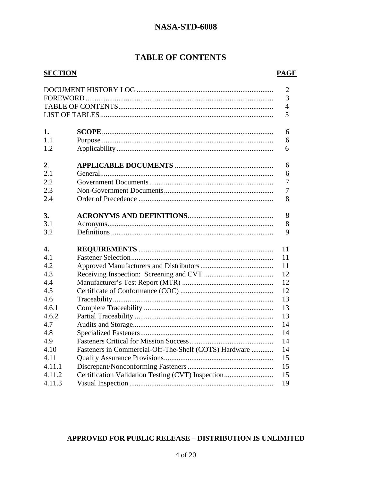# **TABLE OF CONTENTS**

### **SECTION**

### **PAGE**

|                  |                                                       | $\mathfrak{2}$ |
|------------------|-------------------------------------------------------|----------------|
|                  |                                                       | $\overline{3}$ |
|                  |                                                       | $\overline{4}$ |
|                  |                                                       | 5              |
|                  |                                                       |                |
| 1.               |                                                       | 6              |
| 1.1              |                                                       | 6              |
| 1.2              |                                                       | 6              |
| $\overline{2}$ . |                                                       | 6              |
| 2.1              |                                                       | 6              |
| 2.2              |                                                       | $\overline{7}$ |
| 2.3              |                                                       | $\overline{7}$ |
| 2.4              |                                                       | 8              |
|                  |                                                       |                |
| 3.               |                                                       | 8              |
| 3.1              |                                                       | 8              |
| 3.2              |                                                       | 9              |
| 4.               |                                                       | 11             |
| 4.1              |                                                       |                |
|                  |                                                       |                |
|                  |                                                       | 11             |
| 4.2              |                                                       | 11             |
| 4.3              |                                                       | 12             |
| 4.4              |                                                       | 12             |
| 4.5              |                                                       | 12             |
| 4.6              |                                                       | 13             |
| 4.6.1            |                                                       | 13             |
| 4.6.2            |                                                       | 13             |
| 4.7              |                                                       | 14             |
| 4.8              |                                                       | 14             |
| 4.9              |                                                       | 14             |
| 4.10             | Fasteners in Commercial-Off-The-Shelf (COTS) Hardware | 14             |
| 4.11             |                                                       | 15             |
| 4.11.1           |                                                       | 15             |
| 4.11.2           | Certification Validation Testing (CVT) Inspection     | 15<br>19       |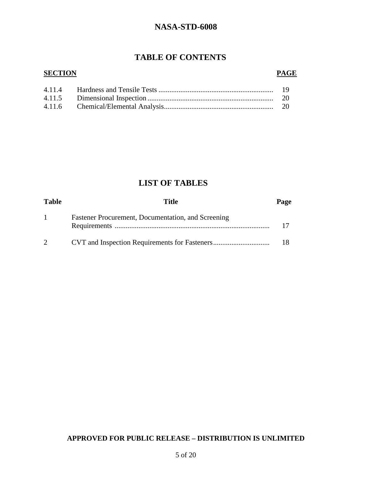# **TABLE OF CONTENTS**

### **SECTION**

### **PAGE**

# **LIST OF TABLES**

| <b>Table</b> | Title                                              | Page |
|--------------|----------------------------------------------------|------|
|              | Fastener Procurement, Documentation, and Screening |      |
| $2^{\circ}$  |                                                    |      |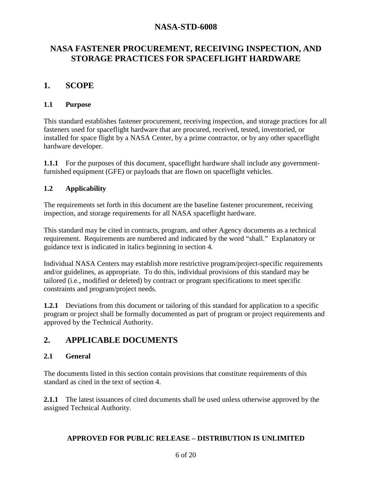# **NASA FASTENER PROCUREMENT, RECEIVING INSPECTION, AND STORAGE PRACTICES FOR SPACEFLIGHT HARDWARE**

# **1. SCOPE**

### **1.1 Purpose**

This standard establishes fastener procurement, receiving inspection, and storage practices for all fasteners used for spaceflight hardware that are procured, received, tested, inventoried, or installed for space flight by a NASA Center, by a prime contractor, or by any other spaceflight hardware developer.

**1.1.1** For the purposes of this document, spaceflight hardware shall include any governmentfurnished equipment (GFE) or payloads that are flown on spaceflight vehicles.

### **1.2 Applicability**

The requirements set forth in this document are the baseline fastener procurement, receiving inspection, and storage requirements for all NASA spaceflight hardware.

This standard may be cited in contracts, program, and other Agency documents as a technical requirement. Requirements are numbered and indicated by the word "shall." Explanatory or guidance text is indicated in italics beginning in section 4.

Individual NASA Centers may establish more restrictive program/project-specific requirements and/or guidelines, as appropriate. To do this, individual provisions of this standard may be tailored (i.e., modified or deleted) by contract or program specifications to meet specific constraints and program/project needs.

**1.2.1** Deviations from this document or tailoring of this standard for application to a specific program or project shall be formally documented as part of program or project requirements and approved by the Technical Authority.

# **2. APPLICABLE DOCUMENTS**

### **2.1 General**

The documents listed in this section contain provisions that constitute requirements of this standard as cited in the text of section 4.

**2.1.1** The latest issuances of cited documents shall be used unless otherwise approved by the assigned Technical Authority.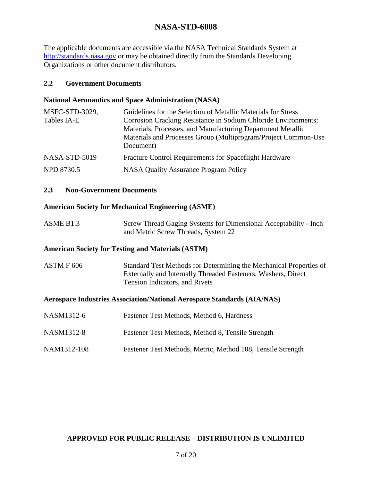The applicable documents are accessible via the NASA Technical Standards System at http://standards.nasa.gov or may be obtained directly from the Standards Developing Organizations or other document distributors.

### **2.2 Government Documents**

### **National Aeronautics and Space Administration (NASA)**

| MSFC-STD-3029, | Guidelines for the Selection of Metallic Materials for Stress  |
|----------------|----------------------------------------------------------------|
| Tables IA-E    | Corrosion Cracking Resistance in Sodium Chloride Environments; |
|                | Materials, Processes, and Manufacturing Department Metallic    |
|                | Materials and Processes Group (Multiprogram/Project Common-Use |
|                | Document)                                                      |
| NASA-STD-5019  | Fracture Control Requirements for Spaceflight Hardware         |
| NPD 8730.5     | NASA Quality Assurance Program Policy                          |
|                |                                                                |

### **2.3 Non-Government Documents**

### **American Society for Mechanical Engineering (ASME)**

| ASME B <sub>1.3</sub> | Screw Thread Gaging Systems for Dimensional Acceptability - Inch |
|-----------------------|------------------------------------------------------------------|
|                       | and Metric Screw Threads, System 22                              |

#### **American Society for Testing and Materials (ASTM)**

ASTM F 606 Standard Test Methods for Determining the Mechanical Properties of Externally and Internally Threaded Fasteners, Washers, Direct Tension Indicators, and Rivets

#### **Aerospace Industries Association/National Aerospace Standards (AIA/NAS)**

| NASM1312-6 | Fastener Test Methods, Method 6, Hardness |
|------------|-------------------------------------------|
|            |                                           |

- NASM1312-8 Fastener Test Methods, Method 8, Tensile Strength
- NAM1312-108 Fastener Test Methods, Metric, Method 108, Tensile Strength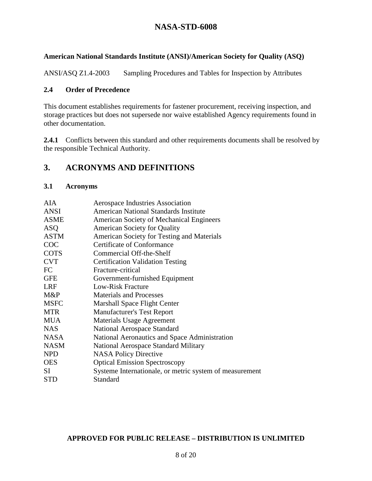### **American National Standards Institute (ANSI)/American Society for Quality (ASQ)**

ANSI/ASQ Z1.4-2003 Sampling Procedures and Tables for Inspection by Attributes

#### **2.4 Order of Precedence**

This document establishes requirements for fastener procurement, receiving inspection, and storage practices but does not supersede nor waive established Agency requirements found in other documentation.

2.4.1 Conflicts between this standard and other requirements documents shall be resolved by the responsible Technical Authority.

# **3. ACRONYMS AND DEFINITIONS**

#### **3.1 Acronyms**

| AIA         | Aerospace Industries Association                        |
|-------------|---------------------------------------------------------|
| <b>ANSI</b> | American National Standards Institute                   |
| <b>ASME</b> | <b>American Society of Mechanical Engineers</b>         |
| <b>ASQ</b>  | <b>American Society for Quality</b>                     |
| <b>ASTM</b> | American Society for Testing and Materials              |
| COC         | <b>Certificate of Conformance</b>                       |
| <b>COTS</b> | Commercial Off-the-Shelf                                |
| <b>CVT</b>  | <b>Certification Validation Testing</b>                 |
| FC          | Fracture-critical                                       |
| <b>GFE</b>  | Government-furnished Equipment                          |
| <b>LRF</b>  | Low-Risk Fracture                                       |
| M&P         | <b>Materials and Processes</b>                          |
| <b>MSFC</b> | Marshall Space Flight Center                            |
| <b>MTR</b>  | <b>Manufacturer's Test Report</b>                       |
| <b>MUA</b>  | <b>Materials Usage Agreement</b>                        |
| <b>NAS</b>  | National Aerospace Standard                             |
| <b>NASA</b> | National Aeronautics and Space Administration           |
| <b>NASM</b> | National Aerospace Standard Military                    |
| <b>NPD</b>  | <b>NASA Policy Directive</b>                            |
| <b>OES</b>  | <b>Optical Emission Spectroscopy</b>                    |
| SI.         | Systeme Internationale, or metric system of measurement |
| <b>STD</b>  | Standard                                                |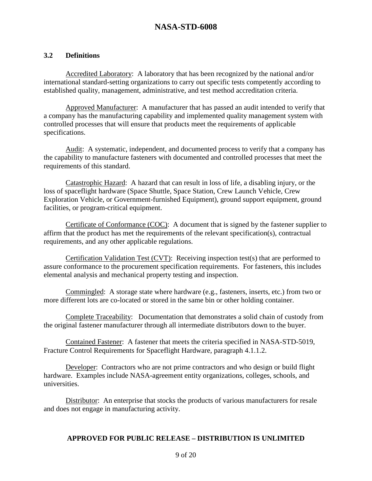### **3.2 Definitions**

 Accredited Laboratory: A laboratory that has been recognized by the national and/or international standard-setting organizations to carry out specific tests competently according to established quality, management, administrative, and test method accreditation criteria.

 Approved Manufacturer: A manufacturer that has passed an audit intended to verify that a company has the manufacturing capability and implemented quality management system with controlled processes that will ensure that products meet the requirements of applicable specifications.

 Audit: A systematic, independent, and documented process to verify that a company has the capability to manufacture fasteners with documented and controlled processes that meet the requirements of this standard.

 Catastrophic Hazard: A hazard that can result in loss of life, a disabling injury, or the loss of spaceflight hardware (Space Shuttle, Space Station, Crew Launch Vehicle, Crew Exploration Vehicle, or Government-furnished Equipment), ground support equipment, ground facilities, or program-critical equipment.

Certificate of Conformance (COC): A document that is signed by the fastener supplier to affirm that the product has met the requirements of the relevant specification(s), contractual requirements, and any other applicable regulations.

 Certification Validation Test (CVT): Receiving inspection test(s) that are performed to assure conformance to the procurement specification requirements. For fasteners, this includes elemental analysis and mechanical property testing and inspection.

Commingled: A storage state where hardware (e.g., fasteners, inserts, etc.) from two or more different lots are co-located or stored in the same bin or other holding container.

Complete Traceability: Documentation that demonstrates a solid chain of custody from the original fastener manufacturer through all intermediate distributors down to the buyer.

 Contained Fastener: A fastener that meets the criteria specified in NASA-STD-5019, Fracture Control Requirements for Spaceflight Hardware, paragraph 4.1.1.2.

 Developer: Contractors who are not prime contractors and who design or build flight hardware. Examples include NASA-agreement entity organizations, colleges, schools, and universities.

Distributor: An enterprise that stocks the products of various manufacturers for resale and does not engage in manufacturing activity.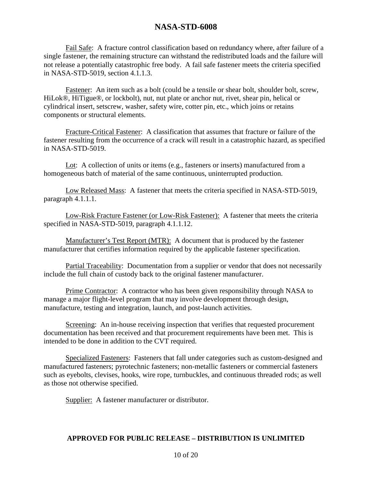Fail Safe: A fracture control classification based on redundancy where, after failure of a single fastener, the remaining structure can withstand the redistributed loads and the failure will not release a potentially catastrophic free body. A fail safe fastener meets the criteria specified in NASA-STD-5019, section 4.1.1.3.

 Fastener: An item such as a bolt (could be a tensile or shear bolt, shoulder bolt, screw, HiLok®, HiTigue®, or lockbolt), nut, nut plate or anchor nut, rivet, shear pin, helical or cylindrical insert, setscrew, washer, safety wire, cotter pin, etc., which joins or retains components or structural elements.

 Fracture-Critical Fastener: A classification that assumes that fracture or failure of the fastener resulting from the occurrence of a crack will result in a catastrophic hazard, as specified in NASA-STD-5019.

 Lot: A collection of units or items (e.g., fasteners or inserts) manufactured from a homogeneous batch of material of the same continuous, uninterrupted production.

 Low Released Mass: A fastener that meets the criteria specified in NASA-STD-5019, paragraph 4.1.1.1.

 Low-Risk Fracture Fastener (or Low-Risk Fastener): A fastener that meets the criteria specified in NASA-STD-5019, paragraph 4.1.1.12.

 Manufacturer's Test Report (MTR): A document that is produced by the fastener manufacturer that certifies information required by the applicable fastener specification.

Partial Traceability: Documentation from a supplier or vendor that does not necessarily include the full chain of custody back to the original fastener manufacturer.

 Prime Contractor: A contractor who has been given responsibility through NASA to manage a major flight-level program that may involve development through design, manufacture, testing and integration, launch, and post-launch activities.

 Screening: An in-house receiving inspection that verifies that requested procurement documentation has been received and that procurement requirements have been met. This is intended to be done in addition to the CVT required.

 Specialized Fasteners: Fasteners that fall under categories such as custom-designed and manufactured fasteners; pyrotechnic fasteners; non-metallic fasteners or commercial fasteners such as eyebolts, clevises, hooks, wire rope, turnbuckles, and continuous threaded rods; as well as those not otherwise specified.

Supplier: A fastener manufacturer or distributor.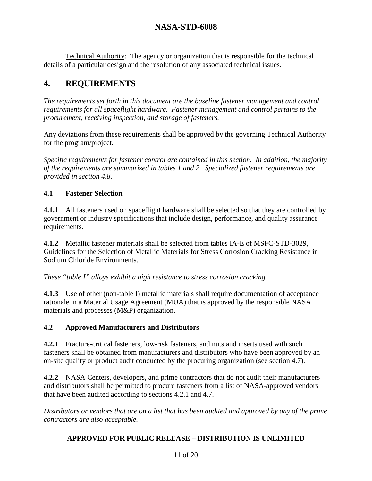Technical Authority: The agency or organization that is responsible for the technical details of a particular design and the resolution of any associated technical issues.

# **4. REQUIREMENTS**

*The requirements set forth in this document are the baseline fastener management and control requirements for all spaceflight hardware. Fastener management and control pertains to the procurement, receiving inspection, and storage of fasteners.* 

Any deviations from these requirements shall be approved by the governing Technical Authority for the program/project.

*Specific requirements for fastener control are contained in this section. In addition, the majority of the requirements are summarized in tables 1 and 2. Specialized fastener requirements are provided in section 4.8.* 

# **4.1 Fastener Selection**

**4.1.1** All fasteners used on spaceflight hardware shall be selected so that they are controlled by government or industry specifications that include design, performance, and quality assurance requirements.

**4.1.2** Metallic fastener materials shall be selected from tables IA-E of MSFC-STD-3029, Guidelines for the Selection of Metallic Materials for Stress Corrosion Cracking Resistance in Sodium Chloride Environments.

*These "table I" alloys exhibit a high resistance to stress corrosion cracking.* 

**4.1.3** Use of other (non-table I) metallic materials shall require documentation of acceptance rationale in a Material Usage Agreement (MUA) that is approved by the responsible NASA materials and processes (M&P) organization.

### **4.2 Approved Manufacturers and Distributors**

**4.2.1** Fracture-critical fasteners, low-risk fasteners, and nuts and inserts used with such fasteners shall be obtained from manufacturers and distributors who have been approved by an on-site quality or product audit conducted by the procuring organization (see section 4.7).

**4.2.2** NASA Centers, developers, and prime contractors that do not audit their manufacturers and distributors shall be permitted to procure fasteners from a list of NASA-approved vendors that have been audited according to sections 4.2.1 and 4.7.

*Distributors or vendors that are on a list that has been audited and approved by any of the prime contractors are also acceptable.*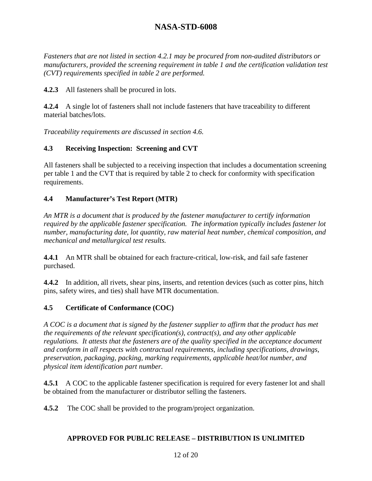*Fasteners that are not listed in section 4.2.1 may be procured from non-audited distributors or manufacturers, provided the screening requirement in table 1 and the certification validation test (CVT) requirements specified in table 2 are performed.* 

**4.2.3** All fasteners shall be procured in lots.

**4.2.4** A single lot of fasteners shall not include fasteners that have traceability to different material batches/lots.

*Traceability requirements are discussed in section 4.6.* 

### **4.3 Receiving Inspection: Screening and CVT**

All fasteners shall be subjected to a receiving inspection that includes a documentation screening per table 1 and the CVT that is required by table 2 to check for conformity with specification requirements.

### **4.4 Manufacturer's Test Report (MTR)**

*An MTR is a document that is produced by the fastener manufacturer to certify information required by the applicable fastener specification. The information typically includes fastener lot number, manufacturing date, lot quantity, raw material heat number, chemical composition, and mechanical and metallurgical test results.* 

**4.4.1** An MTR shall be obtained for each fracture-critical, low-risk, and fail safe fastener purchased.

**4.4.2** In addition, all rivets, shear pins, inserts, and retention devices (such as cotter pins, hitch pins, safety wires, and ties) shall have MTR documentation.

### **4.5 Certificate of Conformance (COC)**

*A COC is a document that is signed by the fastener supplier to affirm that the product has met the requirements of the relevant specification(s), contract(s), and any other applicable regulations. It attests that the fasteners are of the quality specified in the acceptance document and conform in all respects with contractual requirements, including specifications, drawings, preservation, packaging, packing, marking requirements, applicable heat/lot number, and physical item identification part number.* 

**4.5.1** A COC to the applicable fastener specification is required for every fastener lot and shall be obtained from the manufacturer or distributor selling the fasteners.

**4.5.2** The COC shall be provided to the program/project organization.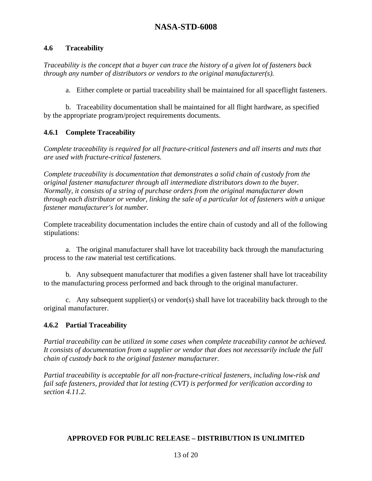### **4.6 Traceability**

*Traceability is the concept that a buyer can trace the history of a given lot of fasteners back through any number of distributors or vendors to the original manufacturer(s).* 

a. Either complete or partial traceability shall be maintained for all spaceflight fasteners.

 b. Traceability documentation shall be maintained for all flight hardware, as specified by the appropriate program/project requirements documents.

### **4.6.1 Complete Traceability**

*Complete traceability is required for all fracture-critical fasteners and all inserts and nuts that are used with fracture-critical fasteners.* 

*Complete traceability is documentation that demonstrates a solid chain of custody from the original fastener manufacturer through all intermediate distributors down to the buyer. Normally, it consists of a string of purchase orders from the original manufacturer down through each distributor or vendor, linking the sale of a particular lot of fasteners with a unique fastener manufacturer's lot number.* 

Complete traceability documentation includes the entire chain of custody and all of the following stipulations:

 a. The original manufacturer shall have lot traceability back through the manufacturing process to the raw material test certifications.

 b. Any subsequent manufacturer that modifies a given fastener shall have lot traceability to the manufacturing process performed and back through to the original manufacturer.

 c. Any subsequent supplier(s) or vendor(s) shall have lot traceability back through to the original manufacturer.

### **4.6.2 Partial Traceability**

*Partial traceability can be utilized in some cases when complete traceability cannot be achieved. It consists of documentation from a supplier or vendor that does not necessarily include the full chain of custody back to the original fastener manufacturer.* 

*Partial traceability is acceptable for all non-fracture-critical fasteners, including low-risk and fail safe fasteners, provided that lot testing (CVT) is performed for verification according to section 4.11.2.*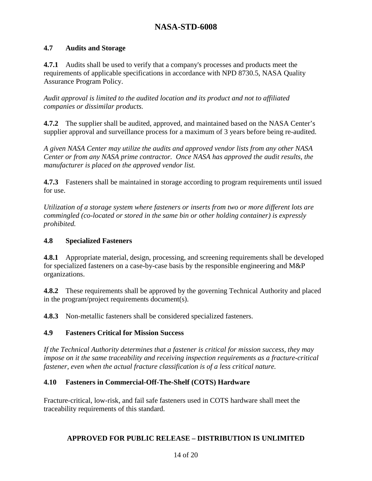### **4.7 Audits and Storage**

**4.7.1** Audits shall be used to verify that a company's processes and products meet the requirements of applicable specifications in accordance with NPD 8730.5, NASA Quality Assurance Program Policy.

*Audit approval is limited to the audited location and its product and not to affiliated companies or dissimilar products.* 

**4.7.2** The supplier shall be audited, approved, and maintained based on the NASA Center's supplier approval and surveillance process for a maximum of 3 years before being re-audited.

*A given NASA Center may utilize the audits and approved vendor lists from any other NASA Center or from any NASA prime contractor. Once NASA has approved the audit results, the manufacturer is placed on the approved vendor list.* 

**4.7.3** Fasteners shall be maintained in storage according to program requirements until issued for use.

*Utilization of a storage system where fasteners or inserts from two or more different lots are commingled (co-located or stored in the same bin or other holding container) is expressly prohibited.* 

#### **4.8 Specialized Fasteners**

**4.8.1** Appropriate material, design, processing, and screening requirements shall be developed for specialized fasteners on a case-by-case basis by the responsible engineering and M&P organizations.

**4.8.2** These requirements shall be approved by the governing Technical Authority and placed in the program/project requirements document(s).

**4.8.3** Non-metallic fasteners shall be considered specialized fasteners.

#### **4.9 Fasteners Critical for Mission Success**

*If the Technical Authority determines that a fastener is critical for mission success, they may impose on it the same traceability and receiving inspection requirements as a fracture-critical fastener, even when the actual fracture classification is of a less critical nature.* 

#### **4.10 Fasteners in Commercial-Off-The-Shelf (COTS) Hardware**

Fracture-critical, low-risk, and fail safe fasteners used in COTS hardware shall meet the traceability requirements of this standard.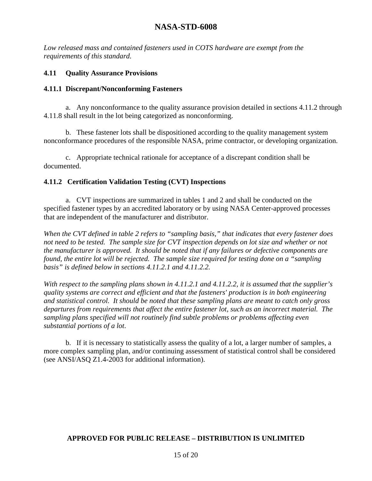*Low released mass and contained fasteners used in COTS hardware are exempt from the requirements of this standard.* 

### **4.11 Quality Assurance Provisions**

### **4.11.1 Discrepant/Nonconforming Fasteners**

 a. Any nonconformance to the quality assurance provision detailed in sections 4.11.2 through 4.11.8 shall result in the lot being categorized as nonconforming.

 b. These fastener lots shall be dispositioned according to the quality management system nonconformance procedures of the responsible NASA, prime contractor, or developing organization.

 c. Appropriate technical rationale for acceptance of a discrepant condition shall be documented.

### **4.11.2 Certification Validation Testing (CVT) Inspections**

 a. CVT inspections are summarized in tables 1 and 2 and shall be conducted on the specified fastener types by an accredited laboratory or by using NASA Center-approved processes that are independent of the manufacturer and distributor.

*When the CVT defined in table 2 refers to "sampling basis," that indicates that every fastener does not need to be tested. The sample size for CVT inspection depends on lot size and whether or not the manufacturer is approved. It should be noted that if any failures or defective components are found, the entire lot will be rejected. The sample size required for testing done on a "sampling basis" is defined below in sections 4.11.2.1 and 4.11.2.2.* 

*With respect to the sampling plans shown in 4.11.2.1 and 4.11.2.2, it is assumed that the supplier's quality systems are correct and efficient and that the fasteners' production is in both engineering and statistical control. It should be noted that these sampling plans are meant to catch only gross departures from requirements that affect the entire fastener lot, such as an incorrect material. The sampling plans specified will not routinely find subtle problems or problems affecting even substantial portions of a lot*.

 b. If it is necessary to statistically assess the quality of a lot, a larger number of samples, a more complex sampling plan, and/or continuing assessment of statistical control shall be considered (see ANSI/ASQ Z1.4-2003 for additional information).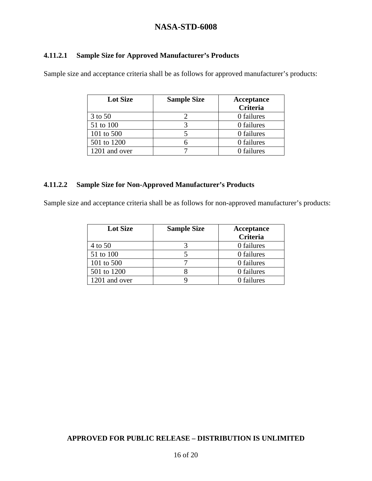### **4.11.2.1 Sample Size for Approved Manufacturer's Products**

Sample size and acceptance criteria shall be as follows for approved manufacturer's products:

| <b>Lot Size</b> | <b>Sample Size</b> | Acceptance |  |  |
|-----------------|--------------------|------------|--|--|
|                 |                    | Criteria   |  |  |
| 3 to 50         |                    | 0 failures |  |  |
| 51 to 100       |                    | 0 failures |  |  |
| 101 to 500      |                    | 0 failures |  |  |
| 501 to 1200     |                    | 0 failures |  |  |
| 1201 and over   |                    | 0 failures |  |  |

### **4.11.2.2 Sample Size for Non-Approved Manufacturer's Products**

Sample size and acceptance criteria shall be as follows for non-approved manufacturer's products:

| <b>Lot Size</b> | <b>Sample Size</b> | Acceptance |  |  |
|-----------------|--------------------|------------|--|--|
|                 |                    | Criteria   |  |  |
| 4 to 50         |                    | 0 failures |  |  |
| 51 to 100       |                    | 0 failures |  |  |
| 101 to 500      |                    | 0 failures |  |  |
| 501 to 1200     |                    | 0 failures |  |  |
| 1201 and over   |                    | 0 failures |  |  |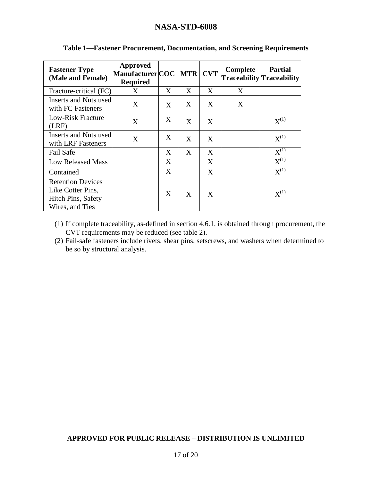| <b>Fastener Type</b><br>(Male and Female)                                              | <b>Approved</b><br>Manufacturer COC<br><b>Required</b> |   | <b>MTR</b> | <b>CVT</b> | Complete | <b>Partial</b><br><b>Traceability</b> Traceability |
|----------------------------------------------------------------------------------------|--------------------------------------------------------|---|------------|------------|----------|----------------------------------------------------|
| Fracture-critical (FC)                                                                 | X                                                      | X | X          | X          | X        |                                                    |
| Inserts and Nuts used<br>with FC Fasteners                                             | X                                                      | X | X          | X          | X        |                                                    |
| Low-Risk Fracture<br>(LRF)                                                             | X                                                      | X | X          | X          |          | $X^{(1)}$                                          |
| Inserts and Nuts used<br>with LRF Fasteners                                            | X                                                      | X | X          | X          |          | $X^{(1)}$                                          |
| <b>Fail Safe</b>                                                                       |                                                        | X | X          | X          |          | $X^{(1)}$                                          |
| <b>Low Released Mass</b>                                                               |                                                        | X |            | X          |          | $X^{(1)}$                                          |
| Contained                                                                              |                                                        | X |            | X          |          | $X^{(1)}$                                          |
| <b>Retention Devices</b><br>Like Cotter Pins,<br>Hitch Pins, Safety<br>Wires, and Ties |                                                        | X | X          | X          |          | $X^{(1)}$                                          |

### **Table 1—Fastener Procurement, Documentation, and Screening Requirements**

(1) If complete traceability, as-defined in section 4.6.1, is obtained through procurement, the CVT requirements may be reduced (see table 2).

(2) Fail-safe fasteners include rivets, shear pins, setscrews, and washers when determined to be so by structural analysis.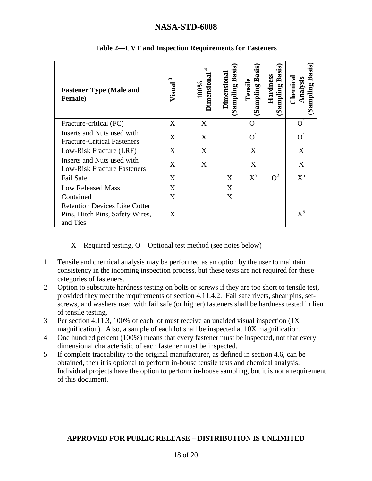| <b>Fastener Type (Male and</b><br><b>Female</b> )                                   | ω<br>Visual | J<br>Dimensiona<br>100% | <b>Basis</b><br>Dimensiona<br>(Sampling | <b>Basis</b><br>Tensile<br>(Sampling | <b>Basis</b><br>Hardness<br>Sampling | Basis<br>Analysis<br>Chemica<br>Sampling |
|-------------------------------------------------------------------------------------|-------------|-------------------------|-----------------------------------------|--------------------------------------|--------------------------------------|------------------------------------------|
| Fracture-critical (FC)                                                              | X           | X                       |                                         | O <sup>1</sup>                       |                                      | O <sup>1</sup>                           |
| Inserts and Nuts used with<br><b>Fracture-Critical Fasteners</b>                    | X           | X                       |                                         | $\Omega^1$                           |                                      | $O^1$                                    |
| Low-Risk Fracture (LRF)                                                             | X           | X                       |                                         | X                                    |                                      | X                                        |
| Inserts and Nuts used with<br><b>Low-Risk Fracture Fasteners</b>                    | X           | X                       |                                         | X                                    |                                      | X                                        |
| Fail Safe                                                                           | X           |                         | X                                       | $X^5$                                | $Q^2$                                | $X^5$                                    |
| <b>Low Released Mass</b>                                                            | X           |                         | X                                       |                                      |                                      |                                          |
| Contained                                                                           | X           |                         | X                                       |                                      |                                      |                                          |
| <b>Retention Devices Like Cotter</b><br>Pins, Hitch Pins, Safety Wires,<br>and Ties | X           |                         |                                         |                                      |                                      | $\mathrm{X}^5$                           |

### **Table 2—CVT and Inspection Requirements for Fasteners**

 $X - Required testing, O - Optional test method (see notes below)$ 

- 1 Tensile and chemical analysis may be performed as an option by the user to maintain consistency in the incoming inspection process, but these tests are not required for these categories of fasteners.
- 2 Option to substitute hardness testing on bolts or screws if they are too short to tensile test, provided they meet the requirements of section 4.11.4.2. Fail safe rivets, shear pins, setscrews, and washers used with fail safe (or higher) fasteners shall be hardness tested in lieu of tensile testing.
- 3 Per section 4.11.3, 100% of each lot must receive an unaided visual inspection (1X magnification). Also, a sample of each lot shall be inspected at 10X magnification.
- 4 One hundred percent (100%) means that every fastener must be inspected, not that every dimensional characteristic of each fastener must be inspected.
- 5 If complete traceability to the original manufacturer, as defined in section 4.6, can be obtained, then it is optional to perform in-house tensile tests and chemical analysis. Individual projects have the option to perform in-house sampling, but it is not a requirement of this document.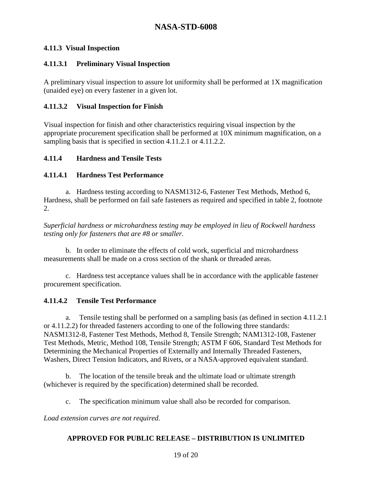### **4.11.3 Visual Inspection**

### **4.11.3.1 Preliminary Visual Inspection**

A preliminary visual inspection to assure lot uniformity shall be performed at 1X magnification (unaided eye) on every fastener in a given lot.

### **4.11.3.2 Visual Inspection for Finish**

Visual inspection for finish and other characteristics requiring visual inspection by the appropriate procurement specification shall be performed at 10X minimum magnification, on a sampling basis that is specified in section 4.11.2.1 or 4.11.2.2.

### **4.11.4 Hardness and Tensile Tests**

### **4.11.4.1 Hardness Test Performance**

 a. Hardness testing according to NASM1312-6, Fastener Test Methods, Method 6, Hardness, shall be performed on fail safe fasteners as required and specified in table 2, footnote 2.

*Superficial hardness or microhardness testing may be employed in lieu of Rockwell hardness testing only for fasteners that are #8 or smaller.*

 b. In order to eliminate the effects of cold work, superficial and microhardness measurements shall be made on a cross section of the shank or threaded areas.

 c. Hardness test acceptance values shall be in accordance with the applicable fastener procurement specification.

### **4.11.4.2 Tensile Test Performance**

 a. Tensile testing shall be performed on a sampling basis (as defined in section 4.11.2.1 or 4.11.2.2) for threaded fasteners according to one of the following three standards: NASM1312-8, Fastener Test Methods, Method 8, Tensile Strength; NAM1312-108, Fastener Test Methods, Metric, Method 108, Tensile Strength; ASTM F 606, Standard Test Methods for Determining the Mechanical Properties of Externally and Internally Threaded Fasteners, Washers, Direct Tension Indicators, and Rivets, or a NASA-approved equivalent standard.

 b. The location of the tensile break and the ultimate load or ultimate strength (whichever is required by the specification) determined shall be recorded.

c. The specification minimum value shall also be recorded for comparison.

*Load extension curves are not required.*